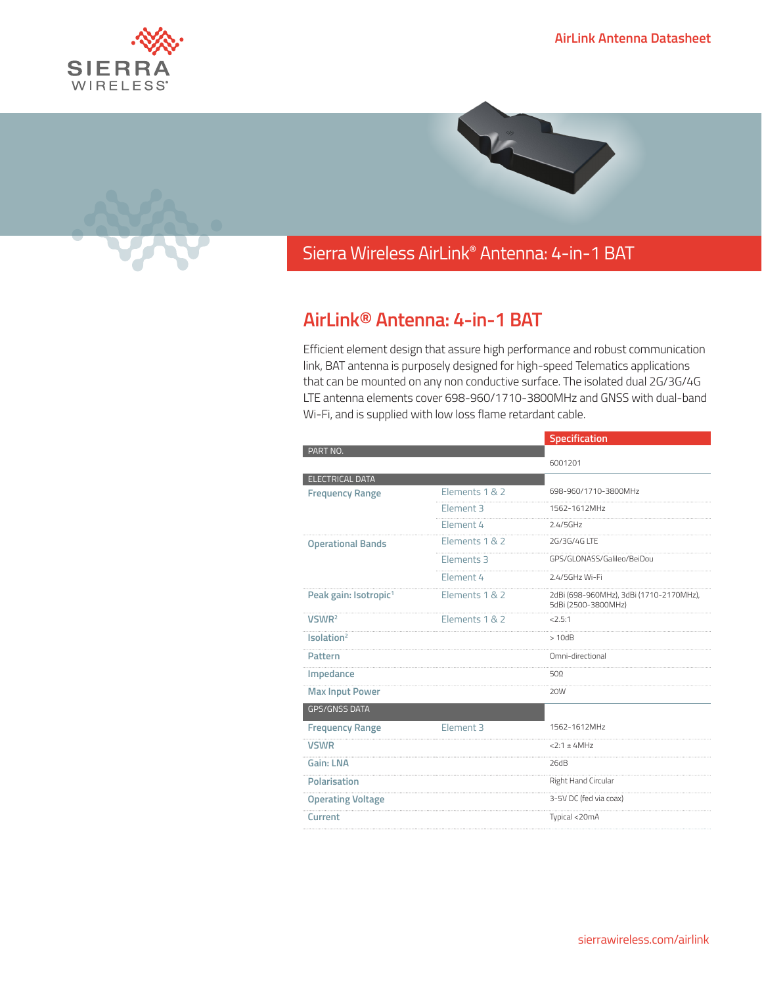





## Sierra Wireless **EMBEDDED MODULES HL SERIES** AirLink**®** Antenna: 4-in-1 BAT

## **AirLink® Antenna: 4-in-1 BAT**

Efficient element design that assure high performance and robust communication link, BAT antenna is purposely designed for high-speed Telematics applications that can be mounted on any non conductive surface. The isolated dual 2G/3G/4G LTE antenna elements cover 698-960/1710-3800MHz and GNSS with dual-band Wi-Fi, and is supplied with low loss flame retardant cable.

|                                   |                      | Specification                                                  |
|-----------------------------------|----------------------|----------------------------------------------------------------|
| PART NO.                          |                      |                                                                |
|                                   |                      | 6001201                                                        |
| <b>ELECTRICAL DATA</b>            |                      |                                                                |
| <b>Frequency Range</b>            | Elements 1 & 2       | 698-960/1710-3800MHz                                           |
|                                   | Element <sub>3</sub> | 1562-1612MHz                                                   |
|                                   | Element 4            | 2.4/5GHz                                                       |
| <b>Operational Bands</b>          | Elements 1 & 2       | 2G/3G/4G LTE                                                   |
|                                   | Elements 3           | GPS/GLONASS/Galileo/BeiDou                                     |
|                                   | Element 4            | 2.4/5GHz Wi-Fi                                                 |
| Peak gain: Isotropic <sup>1</sup> | Elements 1 & 2       | 2dBi (698-960MHz), 3dBi (1710-2170MHz),<br>5dBi (2500-3800MHz) |
| VSWR <sup>2</sup>                 | Elements 1 & 2       | 22.5:1                                                         |
| Isolation <sup>2</sup>            |                      | >10dB                                                          |
| <b>Pattern</b>                    |                      | Omni-directional                                               |
| Impedance                         |                      | 50Ω                                                            |
| <b>Max Input Power</b>            |                      | 20W                                                            |
| <b>GPS/GNSS DATA</b>              |                      |                                                                |
| <b>Frequency Range</b>            | Element 3            | 1562-1612MHz                                                   |
| <b>VSWR</b>                       |                      | $2:1 \pm 4MHz$                                                 |
| Gain: LNA                         |                      | 26dB                                                           |
| Polarisation                      |                      | Right Hand Circular                                            |
| <b>Operating Voltage</b>          |                      | 3-5V DC (fed via coax)                                         |
| Current                           |                      | Typical <20mA                                                  |
|                                   |                      |                                                                |